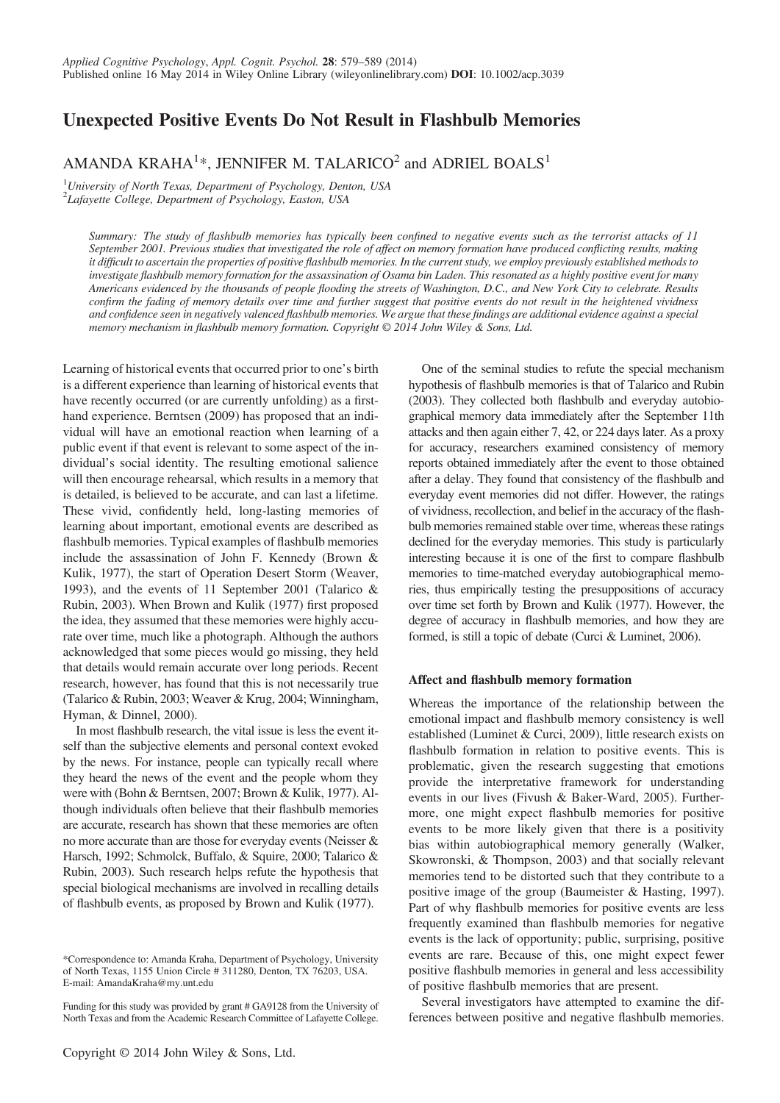# Unexpected Positive Events Do Not Result in Flashbulb Memories

# AMANDA KRAHA<sup>1\*</sup>, JENNIFER M. TALARICO<sup>2</sup> and ADRIEL BOALS<sup>1</sup>

 $1$ University of North Texas, Department of Psychology, Denton, USA <sup>2</sup>Lafayette College, Department of Psychology, Easton, USA

Summary: The study of flashbulb memories has typically been confined to negative events such as the terrorist attacks of 11 September 2001. Previous studies that investigated the role of affect on memory formation have produced conflicting results, making it difficult to ascertain the properties of positive flashbulb memories. In the current study, we employ previously established methods to investigate flashbulb memory formation for the assassination of Osama bin Laden. This resonated as a highly positive event for many Americans evidenced by the thousands of people flooding the streets of Washington, D.C., and New York City to celebrate. Results confirm the fading of memory details over time and further suggest that positive events do not result in the heightened vividness and confidence seen in negatively valenced flashbulb memories. We argue that these findings are additional evidence against a special memory mechanism in flashbulb memory formation. Copyright © 2014 John Wiley & Sons, Ltd.

Learning of historical events that occurred prior to one's birth is a different experience than learning of historical events that have recently occurred (or are currently unfolding) as a firsthand experience. Berntsen (2009) has proposed that an individual will have an emotional reaction when learning of a public event if that event is relevant to some aspect of the individual's social identity. The resulting emotional salience will then encourage rehearsal, which results in a memory that is detailed, is believed to be accurate, and can last a lifetime. These vivid, confidently held, long-lasting memories of learning about important, emotional events are described as flashbulb memories. Typical examples of flashbulb memories include the assassination of John F. Kennedy (Brown & Kulik, 1977), the start of Operation Desert Storm (Weaver, 1993), and the events of 11 September 2001 (Talarico & Rubin, 2003). When Brown and Kulik (1977) first proposed the idea, they assumed that these memories were highly accurate over time, much like a photograph. Although the authors acknowledged that some pieces would go missing, they held that details would remain accurate over long periods. Recent research, however, has found that this is not necessarily true (Talarico & Rubin, 2003; Weaver & Krug, 2004; Winningham, Hyman, & Dinnel, 2000).

In most flashbulb research, the vital issue is less the event itself than the subjective elements and personal context evoked by the news. For instance, people can typically recall where they heard the news of the event and the people whom they were with (Bohn & Berntsen, 2007; Brown & Kulik, 1977). Although individuals often believe that their flashbulb memories are accurate, research has shown that these memories are often no more accurate than are those for everyday events (Neisser & Harsch, 1992; Schmolck, Buffalo, & Squire, 2000; Talarico & Rubin, 2003). Such research helps refute the hypothesis that special biological mechanisms are involved in recalling details of flashbulb events, as proposed by Brown and Kulik (1977).

One of the seminal studies to refute the special mechanism hypothesis of flashbulb memories is that of Talarico and Rubin (2003). They collected both flashbulb and everyday autobiographical memory data immediately after the September 11th attacks and then again either 7, 42, or 224 days later. As a proxy for accuracy, researchers examined consistency of memory reports obtained immediately after the event to those obtained after a delay. They found that consistency of the flashbulb and everyday event memories did not differ. However, the ratings of vividness, recollection, and belief in the accuracy of the flashbulb memories remained stable over time, whereas these ratings declined for the everyday memories. This study is particularly interesting because it is one of the first to compare flashbulb memories to time-matched everyday autobiographical memories, thus empirically testing the presuppositions of accuracy over time set forth by Brown and Kulik (1977). However, the degree of accuracy in flashbulb memories, and how they are formed, is still a topic of debate (Curci & Luminet, 2006).

### Affect and flashbulb memory formation

Whereas the importance of the relationship between the emotional impact and flashbulb memory consistency is well established (Luminet & Curci, 2009), little research exists on flashbulb formation in relation to positive events. This is problematic, given the research suggesting that emotions provide the interpretative framework for understanding events in our lives (Fivush & Baker-Ward, 2005). Furthermore, one might expect flashbulb memories for positive events to be more likely given that there is a positivity bias within autobiographical memory generally (Walker, Skowronski, & Thompson, 2003) and that socially relevant memories tend to be distorted such that they contribute to a positive image of the group (Baumeister & Hasting, 1997). Part of why flashbulb memories for positive events are less frequently examined than flashbulb memories for negative events is the lack of opportunity; public, surprising, positive events are rare. Because of this, one might expect fewer positive flashbulb memories in general and less accessibility of positive flashbulb memories that are present.

Several investigators have attempted to examine the differences between positive and negative flashbulb memories.

<sup>\*</sup>Correspondence to: Amanda Kraha, Department of Psychology, University of North Texas, 1155 Union Circle # 311280, Denton, TX 76203, USA. E-mail: AmandaKraha@my.unt.edu

Funding for this study was provided by grant # GA9128 from the University of North Texas and from the Academic Research Committee of Lafayette College.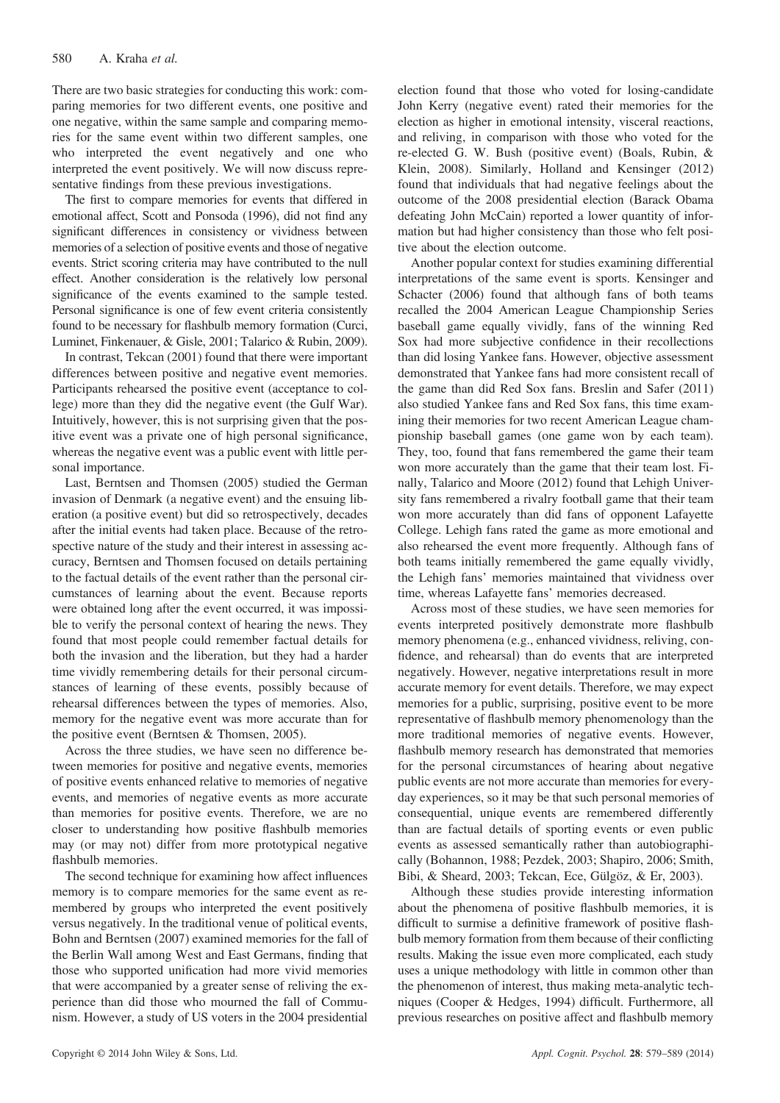There are two basic strategies for conducting this work: comparing memories for two different events, one positive and one negative, within the same sample and comparing memories for the same event within two different samples, one who interpreted the event negatively and one who interpreted the event positively. We will now discuss representative findings from these previous investigations.

The first to compare memories for events that differed in emotional affect, Scott and Ponsoda (1996), did not find any significant differences in consistency or vividness between memories of a selection of positive events and those of negative events. Strict scoring criteria may have contributed to the null effect. Another consideration is the relatively low personal significance of the events examined to the sample tested. Personal significance is one of few event criteria consistently found to be necessary for flashbulb memory formation (Curci, Luminet, Finkenauer, & Gisle, 2001; Talarico & Rubin, 2009).

In contrast, Tekcan (2001) found that there were important differences between positive and negative event memories. Participants rehearsed the positive event (acceptance to college) more than they did the negative event (the Gulf War). Intuitively, however, this is not surprising given that the positive event was a private one of high personal significance, whereas the negative event was a public event with little personal importance.

Last, Berntsen and Thomsen (2005) studied the German invasion of Denmark (a negative event) and the ensuing liberation (a positive event) but did so retrospectively, decades after the initial events had taken place. Because of the retrospective nature of the study and their interest in assessing accuracy, Berntsen and Thomsen focused on details pertaining to the factual details of the event rather than the personal circumstances of learning about the event. Because reports were obtained long after the event occurred, it was impossible to verify the personal context of hearing the news. They found that most people could remember factual details for both the invasion and the liberation, but they had a harder time vividly remembering details for their personal circumstances of learning of these events, possibly because of rehearsal differences between the types of memories. Also, memory for the negative event was more accurate than for the positive event (Berntsen & Thomsen, 2005).

Across the three studies, we have seen no difference between memories for positive and negative events, memories of positive events enhanced relative to memories of negative events, and memories of negative events as more accurate than memories for positive events. Therefore, we are no closer to understanding how positive flashbulb memories may (or may not) differ from more prototypical negative flashbulb memories.

The second technique for examining how affect influences memory is to compare memories for the same event as remembered by groups who interpreted the event positively versus negatively. In the traditional venue of political events, Bohn and Berntsen (2007) examined memories for the fall of the Berlin Wall among West and East Germans, finding that those who supported unification had more vivid memories that were accompanied by a greater sense of reliving the experience than did those who mourned the fall of Communism. However, a study of US voters in the 2004 presidential

election found that those who voted for losing-candidate John Kerry (negative event) rated their memories for the election as higher in emotional intensity, visceral reactions, and reliving, in comparison with those who voted for the re-elected G. W. Bush (positive event) (Boals, Rubin, & Klein, 2008). Similarly, Holland and Kensinger (2012) found that individuals that had negative feelings about the outcome of the 2008 presidential election (Barack Obama defeating John McCain) reported a lower quantity of information but had higher consistency than those who felt positive about the election outcome.

Another popular context for studies examining differential interpretations of the same event is sports. Kensinger and Schacter (2006) found that although fans of both teams recalled the 2004 American League Championship Series baseball game equally vividly, fans of the winning Red Sox had more subjective confidence in their recollections than did losing Yankee fans. However, objective assessment demonstrated that Yankee fans had more consistent recall of the game than did Red Sox fans. Breslin and Safer (2011) also studied Yankee fans and Red Sox fans, this time examining their memories for two recent American League championship baseball games (one game won by each team). They, too, found that fans remembered the game their team won more accurately than the game that their team lost. Finally, Talarico and Moore (2012) found that Lehigh University fans remembered a rivalry football game that their team won more accurately than did fans of opponent Lafayette College. Lehigh fans rated the game as more emotional and also rehearsed the event more frequently. Although fans of both teams initially remembered the game equally vividly, the Lehigh fans' memories maintained that vividness over time, whereas Lafayette fans' memories decreased.

Across most of these studies, we have seen memories for events interpreted positively demonstrate more flashbulb memory phenomena (e.g., enhanced vividness, reliving, confidence, and rehearsal) than do events that are interpreted negatively. However, negative interpretations result in more accurate memory for event details. Therefore, we may expect memories for a public, surprising, positive event to be more representative of flashbulb memory phenomenology than the more traditional memories of negative events. However, flashbulb memory research has demonstrated that memories for the personal circumstances of hearing about negative public events are not more accurate than memories for everyday experiences, so it may be that such personal memories of consequential, unique events are remembered differently than are factual details of sporting events or even public events as assessed semantically rather than autobiographically (Bohannon, 1988; Pezdek, 2003; Shapiro, 2006; Smith, Bibi, & Sheard, 2003; Tekcan, Ece, Gülgöz, & Er, 2003).

Although these studies provide interesting information about the phenomena of positive flashbulb memories, it is difficult to surmise a definitive framework of positive flashbulb memory formation from them because of their conflicting results. Making the issue even more complicated, each study uses a unique methodology with little in common other than the phenomenon of interest, thus making meta-analytic techniques (Cooper & Hedges, 1994) difficult. Furthermore, all previous researches on positive affect and flashbulb memory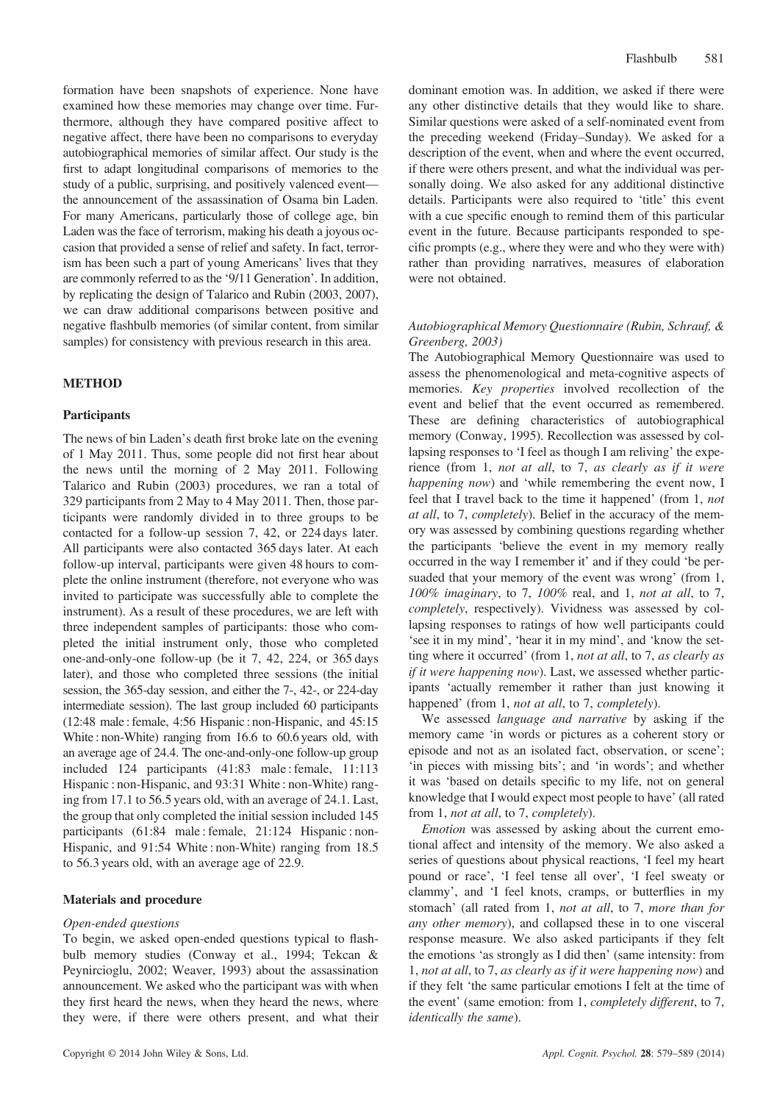formation have been snapshots of experience. None have examined how these memories may change over time. Furthermore, although they have compared positive affect to negative affect, there have been no comparisons to everyday autobiographical memories of similar affect. Our study is the first to adapt longitudinal comparisons of memories to the study of a public, surprising, and positively valenced event the announcement of the assassination of Osama bin Laden. For many Americans, particularly those of college age, bin Laden was the face of terrorism, making his death a joyous occasion that provided a sense of relief and safety. In fact, terrorism has been such a part of young Americans' lives that they are commonly referred to as the '9/11 Generation'. In addition, by replicating the design of Talarico and Rubin (2003, 2007), we can draw additional comparisons between positive and negative flashbulb memories (of similar content, from similar samples) for consistency with previous research in this area.

## **METHOD**

#### **Participants**

The news of bin Laden's death first broke late on the evening of 1 May 2011. Thus, some people did not first hear about the news until the morning of 2 May 2011. Following Talarico and Rubin (2003) procedures, we ran a total of 329 participants from 2 May to 4 May 2011. Then, those participants were randomly divided in to three groups to be contacted for a follow-up session 7, 42, or 224 days later. All participants were also contacted 365 days later. At each follow-up interval, participants were given 48 hours to complete the online instrument (therefore, not everyone who was invited to participate was successfully able to complete the instrument). As a result of these procedures, we are left with three independent samples of participants: those who completed the initial instrument only, those who completed one-and-only-one follow-up (be it 7, 42, 224, or 365 days later), and those who completed three sessions (the initial session, the 365-day session, and either the 7-, 42-, or 224-day intermediate session). The last group included 60 participants (12:48 male : female, 4:56 Hispanic : non-Hispanic, and 45:15 White : non-White) ranging from 16.6 to 60.6 years old, with an average age of 24.4. The one-and-only-one follow-up group included 124 participants (41:83 male : female, 11:113 Hispanic : non-Hispanic, and 93:31 White : non-White) ranging from 17.1 to 56.5 years old, with an average of 24.1. Last, the group that only completed the initial session included 145 participants (61:84 male : female, 21:124 Hispanic : non-Hispanic, and 91:54 White : non-White) ranging from 18.5 to 56.3 years old, with an average age of 22.9.

#### Materials and procedure

#### Open-ended questions

To begin, we asked open-ended questions typical to flashbulb memory studies (Conway et al., 1994; Tekcan & Peynircioglu, 2002; Weaver, 1993) about the assassination announcement. We asked who the participant was with when they first heard the news, when they heard the news, where they were, if there were others present, and what their dominant emotion was. In addition, we asked if there were any other distinctive details that they would like to share. Similar questions were asked of a self-nominated event from the preceding weekend (Friday–Sunday). We asked for a description of the event, when and where the event occurred, if there were others present, and what the individual was personally doing. We also asked for any additional distinctive details. Participants were also required to 'title' this event with a cue specific enough to remind them of this particular event in the future. Because participants responded to specific prompts (e.g., where they were and who they were with) rather than providing narratives, measures of elaboration were not obtained.

## Autobiographical Memory Questionnaire (Rubin, Schrauf, & Greenberg, 2003)

The Autobiographical Memory Questionnaire was used to assess the phenomenological and meta-cognitive aspects of memories. Key properties involved recollection of the event and belief that the event occurred as remembered. These are defining characteristics of autobiographical memory (Conway, 1995). Recollection was assessed by collapsing responses to 'I feel as though I am reliving' the experience (from 1, not at all, to 7, as clearly as if it were happening now) and 'while remembering the event now, I feel that I travel back to the time it happened' (from 1, not at all, to 7, completely). Belief in the accuracy of the memory was assessed by combining questions regarding whether the participants 'believe the event in my memory really occurred in the way I remember it' and if they could 'be persuaded that your memory of the event was wrong' (from 1, 100% imaginary, to 7, 100% real, and 1, not at all, to 7, completely, respectively). Vividness was assessed by collapsing responses to ratings of how well participants could 'see it in my mind', 'hear it in my mind', and 'know the setting where it occurred' (from 1, not at all, to 7, as clearly as if it were happening now). Last, we assessed whether participants 'actually remember it rather than just knowing it happened' (from 1, *not at all*, to 7, *completely*).

We assessed language and narrative by asking if the memory came 'in words or pictures as a coherent story or episode and not as an isolated fact, observation, or scene'; 'in pieces with missing bits'; and 'in words'; and whether it was 'based on details specific to my life, not on general knowledge that I would expect most people to have' (all rated from 1, not at all, to 7, completely).

Emotion was assessed by asking about the current emotional affect and intensity of the memory. We also asked a series of questions about physical reactions, 'I feel my heart pound or race', 'I feel tense all over', 'I feel sweaty or clammy', and 'I feel knots, cramps, or butterflies in my stomach' (all rated from 1, not at all, to 7, more than for any other memory), and collapsed these in to one visceral response measure. We also asked participants if they felt the emotions 'as strongly as I did then' (same intensity: from 1, not at all, to 7, as clearly as if it were happening now) and if they felt 'the same particular emotions I felt at the time of the event' (same emotion: from 1, completely different, to 7, identically the same).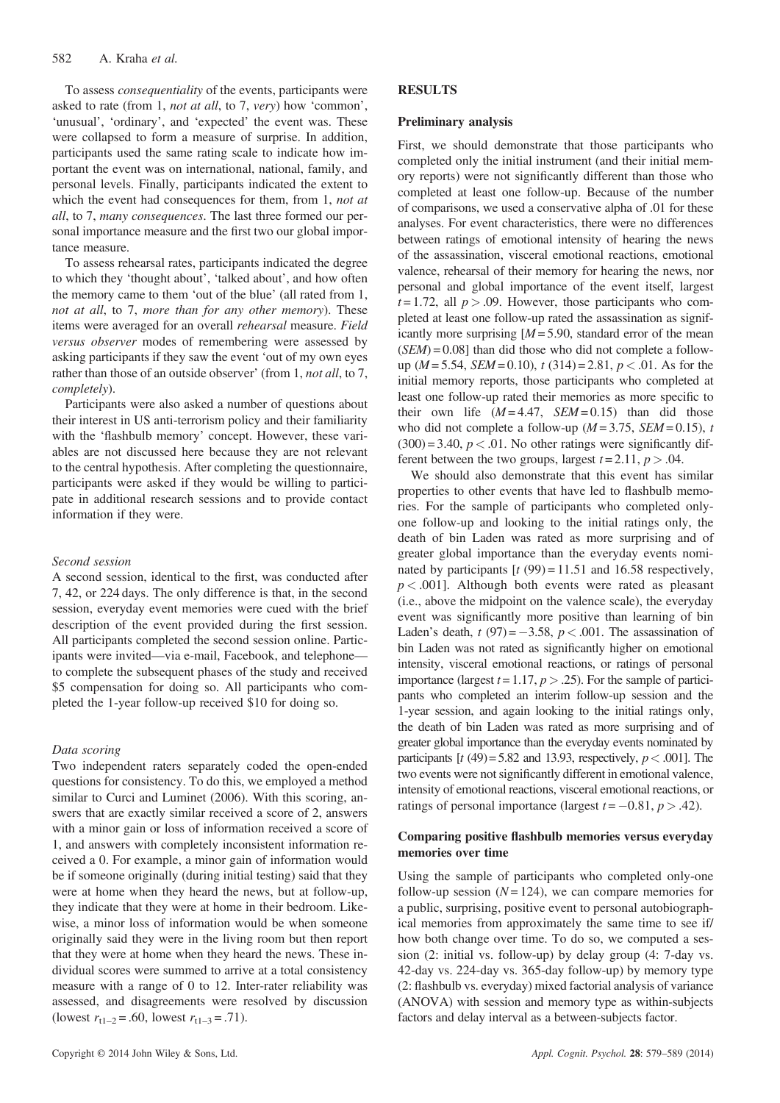To assess consequentiality of the events, participants were asked to rate (from 1, not at all, to 7, very) how 'common', 'unusual', 'ordinary', and 'expected' the event was. These were collapsed to form a measure of surprise. In addition, participants used the same rating scale to indicate how important the event was on international, national, family, and personal levels. Finally, participants indicated the extent to which the event had consequences for them, from 1, not at all, to 7, many consequences. The last three formed our personal importance measure and the first two our global importance measure.

To assess rehearsal rates, participants indicated the degree to which they 'thought about', 'talked about', and how often the memory came to them 'out of the blue' (all rated from 1, not at all, to 7, more than for any other memory). These items were averaged for an overall rehearsal measure. Field versus observer modes of remembering were assessed by asking participants if they saw the event 'out of my own eyes rather than those of an outside observer' (from 1, not all, to 7, completely).

Participants were also asked a number of questions about their interest in US anti-terrorism policy and their familiarity with the 'flashbulb memory' concept. However, these variables are not discussed here because they are not relevant to the central hypothesis. After completing the questionnaire, participants were asked if they would be willing to participate in additional research sessions and to provide contact information if they were.

#### Second session

A second session, identical to the first, was conducted after 7, 42, or 224 days. The only difference is that, in the second session, everyday event memories were cued with the brief description of the event provided during the first session. All participants completed the second session online. Participants were invited—via e-mail, Facebook, and telephone to complete the subsequent phases of the study and received \$5 compensation for doing so. All participants who completed the 1-year follow-up received \$10 for doing so.

#### Data scoring

Two independent raters separately coded the open-ended questions for consistency. To do this, we employed a method similar to Curci and Luminet (2006). With this scoring, answers that are exactly similar received a score of 2, answers with a minor gain or loss of information received a score of 1, and answers with completely inconsistent information received a 0. For example, a minor gain of information would be if someone originally (during initial testing) said that they were at home when they heard the news, but at follow-up, they indicate that they were at home in their bedroom. Likewise, a minor loss of information would be when someone originally said they were in the living room but then report that they were at home when they heard the news. These individual scores were summed to arrive at a total consistency measure with a range of 0 to 12. Inter-rater reliability was assessed, and disagreements were resolved by discussion (lowest  $r_{t1-2} = .60$ , lowest  $r_{t1-3} = .71$ ).

#### RESULTS

#### Preliminary analysis

First, we should demonstrate that those participants who completed only the initial instrument (and their initial memory reports) were not significantly different than those who completed at least one follow-up. Because of the number of comparisons, we used a conservative alpha of .01 for these analyses. For event characteristics, there were no differences between ratings of emotional intensity of hearing the news of the assassination, visceral emotional reactions, emotional valence, rehearsal of their memory for hearing the news, nor personal and global importance of the event itself, largest  $t = 1.72$ , all  $p > .09$ . However, those participants who completed at least one follow-up rated the assassination as significantly more surprising  $[M = 5.90$ , standard error of the mean  $(SEM) = 0.08$ ] than did those who did not complete a followup ( $M = 5.54$ ,  $SEM = 0.10$ ),  $t(314) = 2.81$ ,  $p < .01$ . As for the initial memory reports, those participants who completed at least one follow-up rated their memories as more specific to their own life  $(M=4.47, SEM=0.15)$  than did those who did not complete a follow-up ( $M = 3.75$ ,  $SEM = 0.15$ ), t  $(300) = 3.40$ ,  $p < .01$ . No other ratings were significantly different between the two groups, largest  $t = 2.11$ ,  $p > .04$ .

We should also demonstrate that this event has similar properties to other events that have led to flashbulb memories. For the sample of participants who completed onlyone follow-up and looking to the initial ratings only, the death of bin Laden was rated as more surprising and of greater global importance than the everyday events nominated by participants  $[t (99) = 11.51$  and 16.58 respectively.  $p < .001$ ]. Although both events were rated as pleasant (i.e., above the midpoint on the valence scale), the everyday event was significantly more positive than learning of bin Laden's death,  $t(97) = -3.58$ ,  $p < .001$ . The assassination of bin Laden was not rated as significantly higher on emotional intensity, visceral emotional reactions, or ratings of personal importance (largest  $t = 1.17$ ,  $p > .25$ ). For the sample of participants who completed an interim follow-up session and the 1-year session, and again looking to the initial ratings only, the death of bin Laden was rated as more surprising and of greater global importance than the everyday events nominated by participants  $[t (49) = 5.82$  and 13.93, respectively,  $p < .001$ . The two events were not significantly different in emotional valence, intensity of emotional reactions, visceral emotional reactions, or ratings of personal importance (largest  $t = -0.81$ ,  $p > .42$ ).

## Comparing positive flashbulb memories versus everyday memories over time

Using the sample of participants who completed only-one follow-up session  $(N = 124)$ , we can compare memories for a public, surprising, positive event to personal autobiographical memories from approximately the same time to see if/ how both change over time. To do so, we computed a session (2: initial vs. follow-up) by delay group (4: 7-day vs. 42-day vs. 224-day vs. 365-day follow-up) by memory type (2: flashbulb vs. everyday) mixed factorial analysis of variance (ANOVA) with session and memory type as within-subjects factors and delay interval as a between-subjects factor.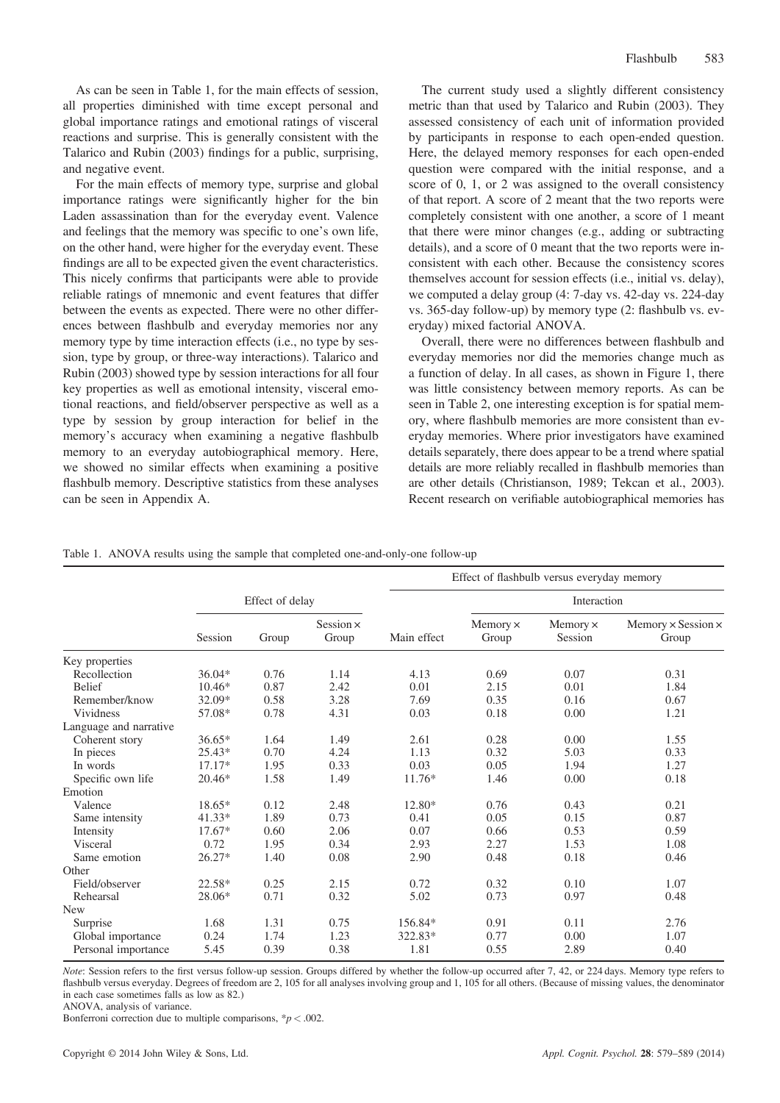As can be seen in Table 1, for the main effects of session, all properties diminished with time except personal and global importance ratings and emotional ratings of visceral reactions and surprise. This is generally consistent with the Talarico and Rubin (2003) findings for a public, surprising,

and negative event. For the main effects of memory type, surprise and global importance ratings were significantly higher for the bin Laden assassination than for the everyday event. Valence and feelings that the memory was specific to one's own life, on the other hand, were higher for the everyday event. These findings are all to be expected given the event characteristics. This nicely confirms that participants were able to provide reliable ratings of mnemonic and event features that differ between the events as expected. There were no other differences between flashbulb and everyday memories nor any memory type by time interaction effects (i.e., no type by session, type by group, or three-way interactions). Talarico and Rubin (2003) showed type by session interactions for all four key properties as well as emotional intensity, visceral emotional reactions, and field/observer perspective as well as a type by session by group interaction for belief in the memory's accuracy when examining a negative flashbulb memory to an everyday autobiographical memory. Here, we showed no similar effects when examining a positive flashbulb memory. Descriptive statistics from these analyses can be seen in Appendix A.

The current study used a slightly different consistency metric than that used by Talarico and Rubin (2003). They assessed consistency of each unit of information provided by participants in response to each open-ended question. Here, the delayed memory responses for each open-ended question were compared with the initial response, and a score of 0, 1, or 2 was assigned to the overall consistency of that report. A score of 2 meant that the two reports were completely consistent with one another, a score of 1 meant that there were minor changes (e.g., adding or subtracting details), and a score of 0 meant that the two reports were inconsistent with each other. Because the consistency scores themselves account for session effects (i.e., initial vs. delay), we computed a delay group (4: 7-day vs. 42-day vs. 224-day vs. 365-day follow-up) by memory type (2: flashbulb vs. everyday) mixed factorial ANOVA.

Overall, there were no differences between flashbulb and everyday memories nor did the memories change much as a function of delay. In all cases, as shown in Figure 1, there was little consistency between memory reports. As can be seen in Table 2, one interesting exception is for spatial memory, where flashbulb memories are more consistent than everyday memories. Where prior investigators have examined details separately, there does appear to be a trend where spatial details are more reliably recalled in flashbulb memories than are other details (Christianson, 1989; Tekcan et al., 2003). Recent research on verifiable autobiographical memories has

Table 1. ANOVA results using the sample that completed one-and-only-one follow-up

|                        |                 |       |                           |             | Effect of flashbulb versus everyday memory |                            |                                           |  |  |  |
|------------------------|-----------------|-------|---------------------------|-------------|--------------------------------------------|----------------------------|-------------------------------------------|--|--|--|
|                        | Effect of delay |       |                           |             | Interaction                                |                            |                                           |  |  |  |
|                        | Session         | Group | Session $\times$<br>Group | Main effect | Memory $\times$<br>Group                   | Memory $\times$<br>Session | Memory $\times$ Session $\times$<br>Group |  |  |  |
| Key properties         |                 |       |                           |             |                                            |                            |                                           |  |  |  |
| Recollection           | $36.04*$        | 0.76  | 1.14                      | 4.13        | 0.69                                       | 0.07                       | 0.31                                      |  |  |  |
| <b>Belief</b>          | $10.46*$        | 0.87  | 2.42                      | 0.01        | 2.15                                       | 0.01                       | 1.84                                      |  |  |  |
| Remember/know          | 32.09*          | 0.58  | 3.28                      | 7.69        | 0.35                                       | 0.16                       | 0.67                                      |  |  |  |
| Vividness              | 57.08*          | 0.78  | 4.31                      | 0.03        | 0.18                                       | 0.00                       | 1.21                                      |  |  |  |
| Language and narrative |                 |       |                           |             |                                            |                            |                                           |  |  |  |
| Coherent story         | $36.65*$        | 1.64  | 1.49                      | 2.61        | 0.28                                       | 0.00                       | 1.55                                      |  |  |  |
| In pieces              | $25.43*$        | 0.70  | 4.24                      | 1.13        | 0.32                                       | 5.03                       | 0.33                                      |  |  |  |
| In words               | $17.17*$        | 1.95  | 0.33                      | 0.03        | 0.05                                       | 1.94                       | 1.27                                      |  |  |  |
| Specific own life      | $20.46*$        | 1.58  | 1.49                      | $11.76*$    | 1.46                                       | 0.00                       | 0.18                                      |  |  |  |
| Emotion                |                 |       |                           |             |                                            |                            |                                           |  |  |  |
| Valence                | $18.65*$        | 0.12  | 2.48                      | 12.80*      | 0.76                                       | 0.43                       | 0.21                                      |  |  |  |
| Same intensity         | $41.33*$        | 1.89  | 0.73                      | 0.41        | 0.05                                       | 0.15                       | 0.87                                      |  |  |  |
| Intensity              | $17.67*$        | 0.60  | 2.06                      | 0.07        | 0.66                                       | 0.53                       | 0.59                                      |  |  |  |
| Visceral               | 0.72            | 1.95  | 0.34                      | 2.93        | 2.27                                       | 1.53                       | 1.08                                      |  |  |  |
| Same emotion           | $26.27*$        | 1.40  | 0.08                      | 2.90        | 0.48                                       | 0.18                       | 0.46                                      |  |  |  |
| Other                  |                 |       |                           |             |                                            |                            |                                           |  |  |  |
| Field/observer         | 22.58*          | 0.25  | 2.15                      | 0.72        | 0.32                                       | 0.10                       | 1.07                                      |  |  |  |
| Rehearsal              | 28.06*          | 0.71  | 0.32                      | 5.02        | 0.73                                       | 0.97                       | 0.48                                      |  |  |  |
| <b>New</b>             |                 |       |                           |             |                                            |                            |                                           |  |  |  |
| Surprise               | 1.68            | 1.31  | 0.75                      | 156.84*     | 0.91                                       | 0.11                       | 2.76                                      |  |  |  |
| Global importance      | 0.24            | 1.74  | 1.23                      | 322.83*     | 0.77                                       | 0.00                       | 1.07                                      |  |  |  |
| Personal importance    | 5.45            | 0.39  | 0.38                      | 1.81        | 0.55                                       | 2.89                       | 0.40                                      |  |  |  |

Note: Session refers to the first versus follow-up session. Groups differed by whether the follow-up occurred after 7, 42, or 224 days. Memory type refers to flashbulb versus everyday. Degrees of freedom are 2, 105 for all analyses involving group and 1, 105 for all others. (Because of missing values, the denominator in each case sometimes falls as low as 82.)

ANOVA, analysis of variance.

Bonferroni correction due to multiple comparisons,  $p < .002$ .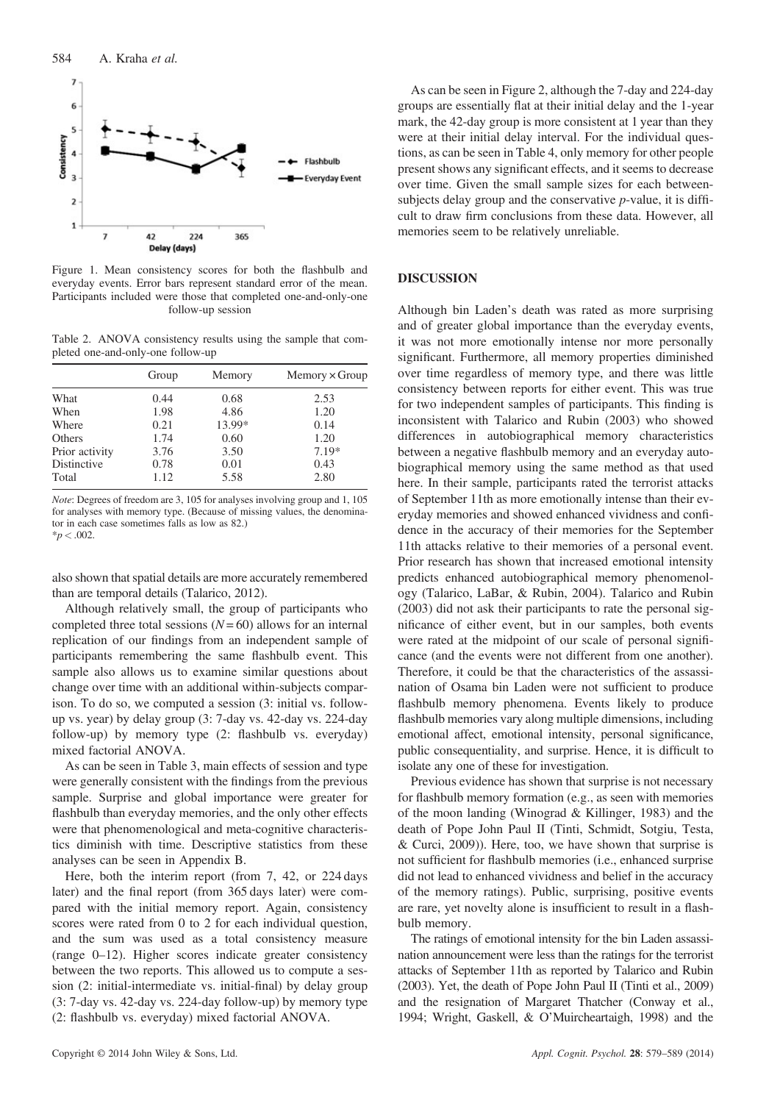



Figure 1. Mean consistency scores for both the flashbulb and everyday events. Error bars represent standard error of the mean. Participants included were those that completed one-and-only-one follow-up session

Table 2. ANOVA consistency results using the sample that completed one-and-only-one follow-up

|                | Group | Memory | Memory $\times$ Group |
|----------------|-------|--------|-----------------------|
| What           | 0.44  | 0.68   | 2.53                  |
| When           | 1.98  | 4.86   | 1.20                  |
| Where          | 0.21  | 13.99* | 0.14                  |
| Others         | 1.74  | 0.60   | 1.20                  |
| Prior activity | 3.76  | 3.50   | $7.19*$               |
| Distinctive    | 0.78  | 0.01   | 0.43                  |
| Total          | 1.12  | 5.58   | 2.80                  |

Note: Degrees of freedom are 3, 105 for analyses involving group and 1, 105 for analyses with memory type. (Because of missing values, the denominator in each case sometimes falls as low as 82.)  $*_{p}$  < .002.

also shown that spatial details are more accurately remembered than are temporal details (Talarico, 2012).

Although relatively small, the group of participants who completed three total sessions  $(N = 60)$  allows for an internal replication of our findings from an independent sample of participants remembering the same flashbulb event. This sample also allows us to examine similar questions about change over time with an additional within-subjects comparison. To do so, we computed a session (3: initial vs. followup vs. year) by delay group (3: 7-day vs. 42-day vs. 224-day follow-up) by memory type (2: flashbulb vs. everyday) mixed factorial ANOVA.

As can be seen in Table 3, main effects of session and type were generally consistent with the findings from the previous sample. Surprise and global importance were greater for flashbulb than everyday memories, and the only other effects were that phenomenological and meta-cognitive characteristics diminish with time. Descriptive statistics from these analyses can be seen in Appendix B.

Here, both the interim report (from 7, 42, or 224 days later) and the final report (from 365 days later) were compared with the initial memory report. Again, consistency scores were rated from 0 to 2 for each individual question, and the sum was used as a total consistency measure (range 0–12). Higher scores indicate greater consistency between the two reports. This allowed us to compute a session (2: initial-intermediate vs. initial-final) by delay group (3: 7-day vs. 42-day vs. 224-day follow-up) by memory type (2: flashbulb vs. everyday) mixed factorial ANOVA.

As can be seen in Figure 2, although the 7-day and 224-day groups are essentially flat at their initial delay and the 1-year mark, the 42-day group is more consistent at 1 year than they were at their initial delay interval. For the individual questions, as can be seen in Table 4, only memory for other people present shows any significant effects, and it seems to decrease over time. Given the small sample sizes for each betweensubjects delay group and the conservative  $p$ -value, it is difficult to draw firm conclusions from these data. However, all memories seem to be relatively unreliable.

## DISCUSSION

Although bin Laden's death was rated as more surprising and of greater global importance than the everyday events, it was not more emotionally intense nor more personally significant. Furthermore, all memory properties diminished over time regardless of memory type, and there was little consistency between reports for either event. This was true for two independent samples of participants. This finding is inconsistent with Talarico and Rubin (2003) who showed differences in autobiographical memory characteristics between a negative flashbulb memory and an everyday autobiographical memory using the same method as that used here. In their sample, participants rated the terrorist attacks of September 11th as more emotionally intense than their everyday memories and showed enhanced vividness and confidence in the accuracy of their memories for the September 11th attacks relative to their memories of a personal event. Prior research has shown that increased emotional intensity predicts enhanced autobiographical memory phenomenology (Talarico, LaBar, & Rubin, 2004). Talarico and Rubin (2003) did not ask their participants to rate the personal significance of either event, but in our samples, both events were rated at the midpoint of our scale of personal significance (and the events were not different from one another). Therefore, it could be that the characteristics of the assassination of Osama bin Laden were not sufficient to produce flashbulb memory phenomena. Events likely to produce flashbulb memories vary along multiple dimensions, including emotional affect, emotional intensity, personal significance, public consequentiality, and surprise. Hence, it is difficult to isolate any one of these for investigation.

Previous evidence has shown that surprise is not necessary for flashbulb memory formation (e.g., as seen with memories of the moon landing (Winograd & Killinger, 1983) and the death of Pope John Paul II (Tinti, Schmidt, Sotgiu, Testa, & Curci, 2009)). Here, too, we have shown that surprise is not sufficient for flashbulb memories (i.e., enhanced surprise did not lead to enhanced vividness and belief in the accuracy of the memory ratings). Public, surprising, positive events are rare, yet novelty alone is insufficient to result in a flashbulb memory.

The ratings of emotional intensity for the bin Laden assassination announcement were less than the ratings for the terrorist attacks of September 11th as reported by Talarico and Rubin (2003). Yet, the death of Pope John Paul II (Tinti et al., 2009) and the resignation of Margaret Thatcher (Conway et al., 1994; Wright, Gaskell, & O'Muircheartaigh, 1998) and the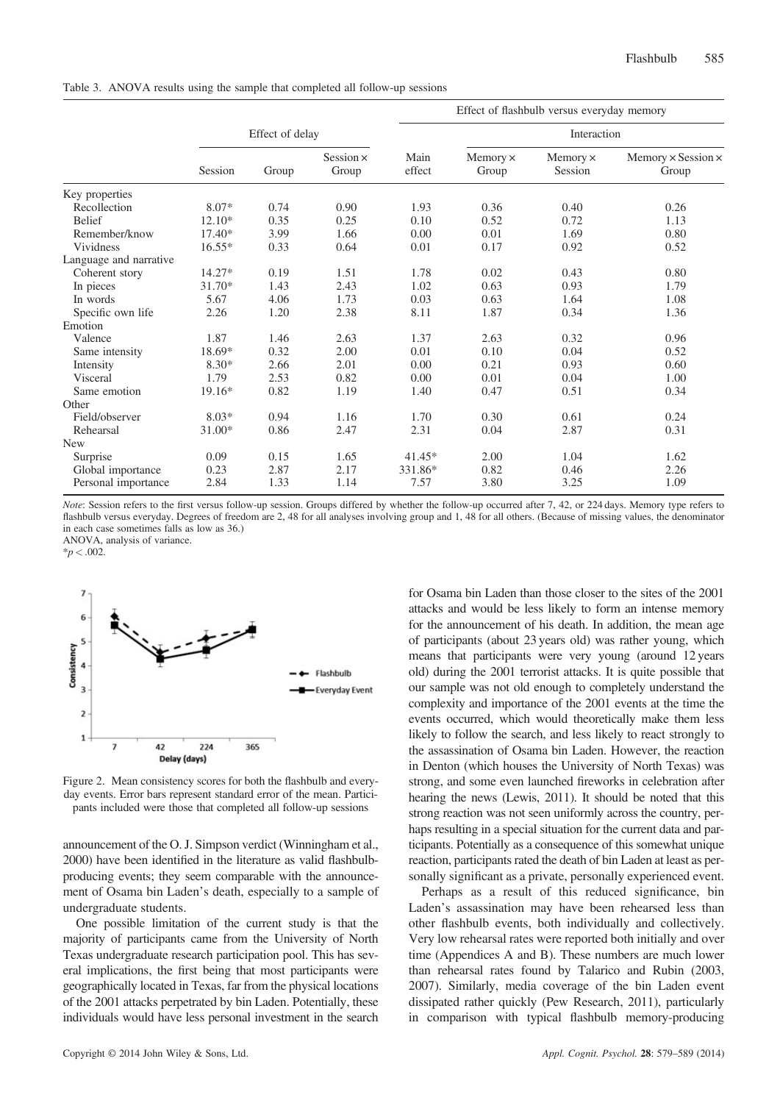Table 3. ANOVA results using the sample that completed all follow-up sessions

|                        |                 |       |                           |                | Effect of flashbulb versus everyday memory |                            |                                           |  |  |  |
|------------------------|-----------------|-------|---------------------------|----------------|--------------------------------------------|----------------------------|-------------------------------------------|--|--|--|
|                        | Effect of delay |       |                           |                | Interaction                                |                            |                                           |  |  |  |
|                        | Session         | Group | Session $\times$<br>Group | Main<br>effect | Memory $\times$<br>Group                   | Memory $\times$<br>Session | Memory $\times$ Session $\times$<br>Group |  |  |  |
| Key properties         |                 |       |                           |                |                                            |                            |                                           |  |  |  |
| Recollection           | $8.07*$         | 0.74  | 0.90                      | 1.93           | 0.36                                       | 0.40                       | 0.26                                      |  |  |  |
| <b>Belief</b>          | $12.10*$        | 0.35  | 0.25                      | 0.10           | 0.52                                       | 0.72                       | 1.13                                      |  |  |  |
| Remember/know          | $17.40*$        | 3.99  | 1.66                      | 0.00           | 0.01                                       | 1.69                       | 0.80                                      |  |  |  |
| Vividness              | $16.55*$        | 0.33  | 0.64                      | 0.01           | 0.17                                       | 0.92                       | 0.52                                      |  |  |  |
| Language and narrative |                 |       |                           |                |                                            |                            |                                           |  |  |  |
| Coherent story         | $14.27*$        | 0.19  | 1.51                      | 1.78           | 0.02                                       | 0.43                       | 0.80                                      |  |  |  |
| In pieces              | $31.70*$        | 1.43  | 2.43                      | 1.02           | 0.63                                       | 0.93                       | 1.79                                      |  |  |  |
| In words               | 5.67            | 4.06  | 1.73                      | 0.03           | 0.63                                       | 1.64                       | 1.08                                      |  |  |  |
| Specific own life      | 2.26            | 1.20  | 2.38                      | 8.11           | 1.87                                       | 0.34                       | 1.36                                      |  |  |  |
| Emotion                |                 |       |                           |                |                                            |                            |                                           |  |  |  |
| Valence                | 1.87            | 1.46  | 2.63                      | 1.37           | 2.63                                       | 0.32                       | 0.96                                      |  |  |  |
| Same intensity         | 18.69*          | 0.32  | 2.00                      | 0.01           | 0.10                                       | 0.04                       | 0.52                                      |  |  |  |
| Intensity              | $8.30*$         | 2.66  | 2.01                      | 0.00           | 0.21                                       | 0.93                       | 0.60                                      |  |  |  |
| Visceral               | 1.79            | 2.53  | 0.82                      | 0.00           | 0.01                                       | 0.04                       | 1.00                                      |  |  |  |
| Same emotion           | $19.16*$        | 0.82  | 1.19                      | 1.40           | 0.47                                       | 0.51                       | 0.34                                      |  |  |  |
| Other                  |                 |       |                           |                |                                            |                            |                                           |  |  |  |
| Field/observer         | $8.03*$         | 0.94  | 1.16                      | 1.70           | 0.30                                       | 0.61                       | 0.24                                      |  |  |  |
| Rehearsal              | $31.00*$        | 0.86  | 2.47                      | 2.31           | 0.04                                       | 2.87                       | 0.31                                      |  |  |  |
| <b>New</b>             |                 |       |                           |                |                                            |                            |                                           |  |  |  |
| Surprise               | 0.09            | 0.15  | 1.65                      | $41.45*$       | 2.00                                       | 1.04                       | 1.62                                      |  |  |  |
| Global importance      | 0.23            | 2.87  | 2.17                      | 331.86*        | 0.82                                       | 0.46                       | 2.26                                      |  |  |  |
| Personal importance    | 2.84            | 1.33  | 1.14                      | 7.57           | 3.80                                       | 3.25                       | 1.09                                      |  |  |  |

Note: Session refers to the first versus follow-up session. Groups differed by whether the follow-up occurred after 7, 42, or 224 days. Memory type refers to flashbulb versus everyday. Degrees of freedom are 2, 48 for all analyses involving group and 1, 48 for all others. (Because of missing values, the denominator in each case sometimes falls as low as 36.)

ANOVA, analysis of variance.

 $*p < .002$ .



Figure 2. Mean consistency scores for both the flashbulb and everyday events. Error bars represent standard error of the mean. Participants included were those that completed all follow-up sessions

announcement of the O. J. Simpson verdict (Winningham et al., 2000) have been identified in the literature as valid flashbulbproducing events; they seem comparable with the announcement of Osama bin Laden's death, especially to a sample of undergraduate students.

One possible limitation of the current study is that the majority of participants came from the University of North Texas undergraduate research participation pool. This has several implications, the first being that most participants were geographically located in Texas, far from the physical locations of the 2001 attacks perpetrated by bin Laden. Potentially, these individuals would have less personal investment in the search for Osama bin Laden than those closer to the sites of the 2001 attacks and would be less likely to form an intense memory for the announcement of his death. In addition, the mean age of participants (about 23 years old) was rather young, which means that participants were very young (around 12 years old) during the 2001 terrorist attacks. It is quite possible that our sample was not old enough to completely understand the complexity and importance of the 2001 events at the time the events occurred, which would theoretically make them less likely to follow the search, and less likely to react strongly to the assassination of Osama bin Laden. However, the reaction in Denton (which houses the University of North Texas) was strong, and some even launched fireworks in celebration after hearing the news (Lewis, 2011). It should be noted that this strong reaction was not seen uniformly across the country, perhaps resulting in a special situation for the current data and participants. Potentially as a consequence of this somewhat unique reaction, participants rated the death of bin Laden at least as personally significant as a private, personally experienced event.

Perhaps as a result of this reduced significance, bin Laden's assassination may have been rehearsed less than other flashbulb events, both individually and collectively. Very low rehearsal rates were reported both initially and over time (Appendices A and B). These numbers are much lower than rehearsal rates found by Talarico and Rubin (2003, 2007). Similarly, media coverage of the bin Laden event dissipated rather quickly (Pew Research, 2011), particularly in comparison with typical flashbulb memory-producing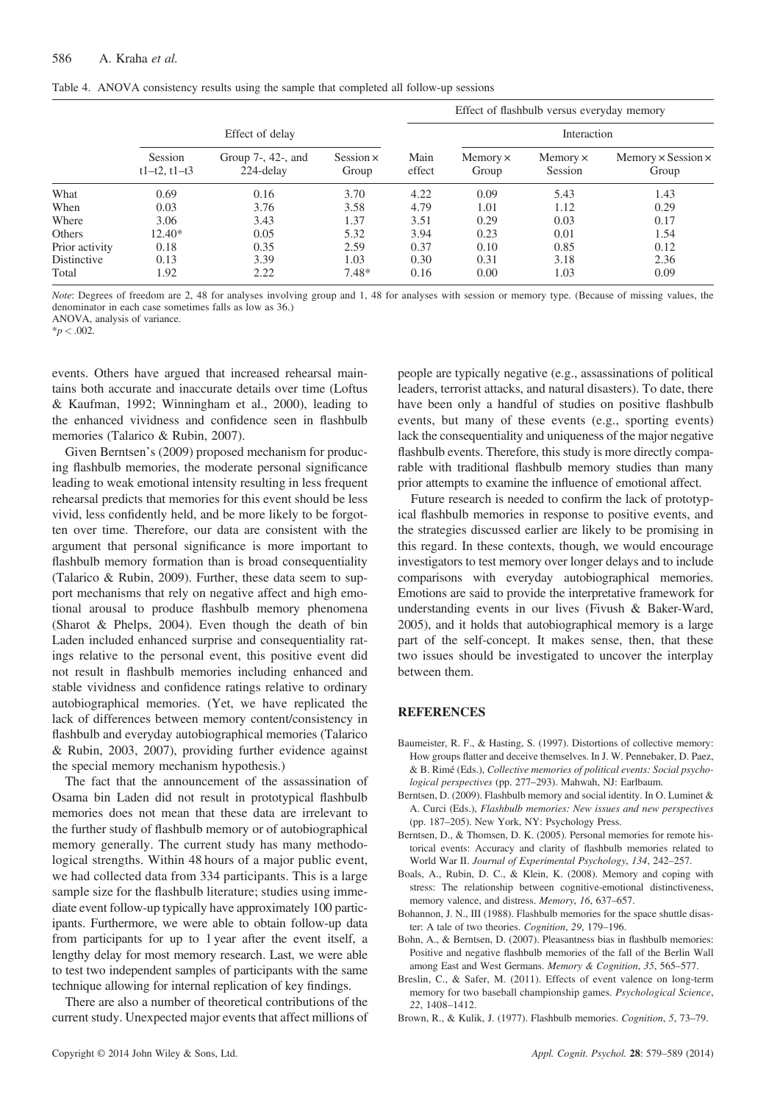|  |  | Table 4. ANOVA consistency results using the sample that completed all follow-up sessions |  |  |  |  |  |  |  |  |
|--|--|-------------------------------------------------------------------------------------------|--|--|--|--|--|--|--|--|
|--|--|-------------------------------------------------------------------------------------------|--|--|--|--|--|--|--|--|

|                |                           |                                 |                           | Effect of flashbulb versus everyday memory |                          |                            |                                           |  |  |  |
|----------------|---------------------------|---------------------------------|---------------------------|--------------------------------------------|--------------------------|----------------------------|-------------------------------------------|--|--|--|
|                |                           | Effect of delay                 |                           |                                            | Interaction              |                            |                                           |  |  |  |
|                | Session<br>$t1-t2, t1-t3$ | Group 7-, 42-, and<br>224-delay | Session $\times$<br>Group | Main<br>effect                             | Memory $\times$<br>Group | Memory $\times$<br>Session | Memory $\times$ Session $\times$<br>Group |  |  |  |
| What           | 0.69                      | 0.16                            | 3.70                      | 4.22                                       | 0.09                     | 5.43                       | 1.43                                      |  |  |  |
| When           | 0.03                      | 3.76                            | 3.58                      | 4.79                                       | 1.01                     | 1.12                       | 0.29                                      |  |  |  |
| Where          | 3.06                      | 3.43                            | 1.37                      | 3.51                                       | 0.29                     | 0.03                       | 0.17                                      |  |  |  |
| Others         | $12.40*$                  | 0.05                            | 5.32                      | 3.94                                       | 0.23                     | 0.01                       | 1.54                                      |  |  |  |
| Prior activity | 0.18                      | 0.35                            | 2.59                      | 0.37                                       | 0.10                     | 0.85                       | 0.12                                      |  |  |  |
| Distinctive    | 0.13                      | 3.39                            | 1.03                      | 0.30                                       | 0.31                     | 3.18                       | 2.36                                      |  |  |  |
| Total          | 1.92                      | 2.22                            | 7.48*                     | 0.16                                       | 0.00                     | 1.03                       | 0.09                                      |  |  |  |

Note: Degrees of freedom are 2, 48 for analyses involving group and 1, 48 for analyses with session or memory type. (Because of missing values, the denominator in each case sometimes falls as low as 36.)

ANOVA, analysis of variance.

 $*p < .002$ .

events. Others have argued that increased rehearsal maintains both accurate and inaccurate details over time (Loftus & Kaufman, 1992; Winningham et al., 2000), leading to the enhanced vividness and confidence seen in flashbulb memories (Talarico & Rubin, 2007).

Given Berntsen's (2009) proposed mechanism for producing flashbulb memories, the moderate personal significance leading to weak emotional intensity resulting in less frequent rehearsal predicts that memories for this event should be less vivid, less confidently held, and be more likely to be forgotten over time. Therefore, our data are consistent with the argument that personal significance is more important to flashbulb memory formation than is broad consequentiality (Talarico & Rubin, 2009). Further, these data seem to support mechanisms that rely on negative affect and high emotional arousal to produce flashbulb memory phenomena (Sharot & Phelps, 2004). Even though the death of bin Laden included enhanced surprise and consequentiality ratings relative to the personal event, this positive event did not result in flashbulb memories including enhanced and stable vividness and confidence ratings relative to ordinary autobiographical memories. (Yet, we have replicated the lack of differences between memory content/consistency in flashbulb and everyday autobiographical memories (Talarico & Rubin, 2003, 2007), providing further evidence against the special memory mechanism hypothesis.)

The fact that the announcement of the assassination of Osama bin Laden did not result in prototypical flashbulb memories does not mean that these data are irrelevant to the further study of flashbulb memory or of autobiographical memory generally. The current study has many methodological strengths. Within 48 hours of a major public event, we had collected data from 334 participants. This is a large sample size for the flashbulb literature; studies using immediate event follow-up typically have approximately 100 participants. Furthermore, we were able to obtain follow-up data from participants for up to 1 year after the event itself, a lengthy delay for most memory research. Last, we were able to test two independent samples of participants with the same technique allowing for internal replication of key findings.

There are also a number of theoretical contributions of the current study. Unexpected major events that affect millions of people are typically negative (e.g., assassinations of political leaders, terrorist attacks, and natural disasters). To date, there have been only a handful of studies on positive flashbulb events, but many of these events (e.g., sporting events) lack the consequentiality and uniqueness of the major negative flashbulb events. Therefore, this study is more directly comparable with traditional flashbulb memory studies than many prior attempts to examine the influence of emotional affect.

Future research is needed to confirm the lack of prototypical flashbulb memories in response to positive events, and the strategies discussed earlier are likely to be promising in this regard. In these contexts, though, we would encourage investigators to test memory over longer delays and to include comparisons with everyday autobiographical memories. Emotions are said to provide the interpretative framework for understanding events in our lives (Fivush & Baker-Ward, 2005), and it holds that autobiographical memory is a large part of the self-concept. It makes sense, then, that these two issues should be investigated to uncover the interplay between them.

### **REFERENCES**

- Baumeister, R. F., & Hasting, S. (1997). Distortions of collective memory: How groups flatter and deceive themselves. In J. W. Pennebaker, D. Paez, & B. Rimé (Eds.), Collective memories of political events: Social psychological perspectives (pp. 277–293). Mahwah, NJ: Earlbaum.
- Berntsen, D. (2009). Flashbulb memory and social identity. In O. Luminet & A. Curci (Eds.), Flashbulb memories: New issues and new perspectives (pp. 187–205). New York, NY: Psychology Press.
- Berntsen, D., & Thomsen, D. K. (2005). Personal memories for remote historical events: Accuracy and clarity of flashbulb memories related to World War II. Journal of Experimental Psychology, 134, 242–257.
- Boals, A., Rubin, D. C., & Klein, K. (2008). Memory and coping with stress: The relationship between cognitive-emotional distinctiveness, memory valence, and distress. Memory, 16, 637–657.
- Bohannon, J. N., III (1988). Flashbulb memories for the space shuttle disaster: A tale of two theories. Cognition, 29, 179–196.
- Bohn, A., & Berntsen, D. (2007). Pleasantness bias in flashbulb memories: Positive and negative flashbulb memories of the fall of the Berlin Wall among East and West Germans. Memory & Cognition, 35, 565–577.
- Breslin, C., & Safer, M. (2011). Effects of event valence on long-term memory for two baseball championship games. Psychological Science, 22, 1408–1412.

Brown, R., & Kulik, J. (1977). Flashbulb memories. Cognition, 5, 73–79.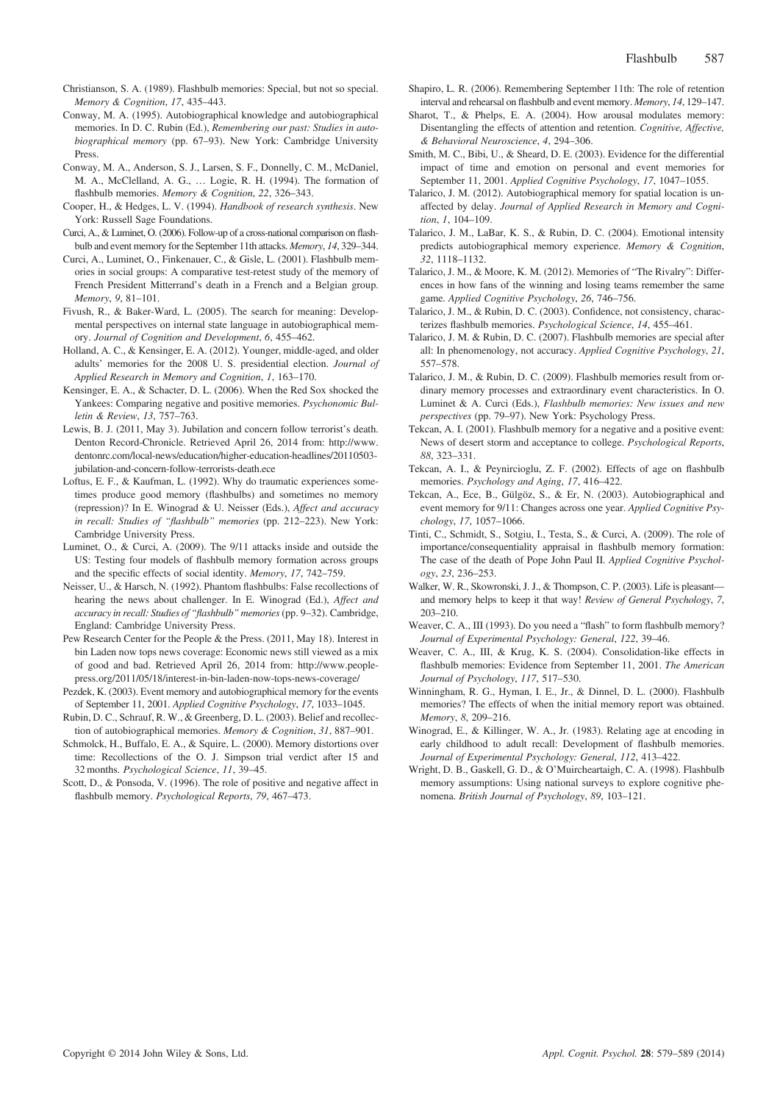- Christianson, S. A. (1989). Flashbulb memories: Special, but not so special. Memory & Cognition, 17, 435–443.
- Conway, M. A. (1995). Autobiographical knowledge and autobiographical memories. In D. C. Rubin (Ed.), Remembering our past: Studies in autobiographical memory (pp. 67–93). New York: Cambridge University Press.
- Conway, M. A., Anderson, S. J., Larsen, S. F., Donnelly, C. M., McDaniel, M. A., McClelland, A. G., … Logie, R. H. (1994). The formation of flashbulb memories. Memory & Cognition, 22, 326-343.
- Cooper, H., & Hedges, L. V. (1994). Handbook of research synthesis. New York: Russell Sage Foundations.
- Curci, A., & Luminet, O. (2006). Follow-up of a cross-national comparison on flashbulb and event memory for the September 11th attacks. Memory, 14, 329–344.
- Curci, A., Luminet, O., Finkenauer, C., & Gisle, L. (2001). Flashbulb memories in social groups: A comparative test-retest study of the memory of French President Mitterrand's death in a French and a Belgian group. Memory, 9, 81–101.
- Fivush, R., & Baker-Ward, L. (2005). The search for meaning: Developmental perspectives on internal state language in autobiographical memory. Journal of Cognition and Development, 6, 455–462.
- Holland, A. C., & Kensinger, E. A. (2012). Younger, middle-aged, and older adults' memories for the 2008 U. S. presidential election. Journal of Applied Research in Memory and Cognition, 1, 163–170.
- Kensinger, E. A., & Schacter, D. L. (2006). When the Red Sox shocked the Yankees: Comparing negative and positive memories. Psychonomic Bulletin & Review, 13, 757–763.
- Lewis, B. J. (2011, May 3). Jubilation and concern follow terrorist's death. Denton Record-Chronicle. Retrieved April 26, 2014 from: http://www. dentonrc.com/local-news/education/higher-education-headlines/20110503 jubilation-and-concern-follow-terrorists-death.ece
- Loftus, E. F., & Kaufman, L. (1992). Why do traumatic experiences sometimes produce good memory (flashbulbs) and sometimes no memory (repression)? In E. Winograd & U. Neisser (Eds.), Affect and accuracy in recall: Studies of "flashbulb" memories (pp. 212–223). New York: Cambridge University Press.
- Luminet, O., & Curci, A. (2009). The 9/11 attacks inside and outside the US: Testing four models of flashbulb memory formation across groups and the specific effects of social identity. Memory, 17, 742–759.
- Neisser, U., & Harsch, N. (1992). Phantom flashbulbs: False recollections of hearing the news about challenger. In E. Winograd (Ed.), Affect and accuracy in recall: Studies of "flashbulb" memories (pp. 9–32). Cambridge, England: Cambridge University Press.
- Pew Research Center for the People & the Press. (2011, May 18). Interest in bin Laden now tops news coverage: Economic news still viewed as a mix of good and bad. Retrieved April 26, 2014 from: [http://www.people](http://www.people-press.org/2011/05/18/interest-in-bin-laden-now-tops-news-coverage/)[press.org/2011/05/18/interest-in-bin-laden-now-tops-news-coverage/](http://www.people-press.org/2011/05/18/interest-in-bin-laden-now-tops-news-coverage/)
- Pezdek, K. (2003). Event memory and autobiographical memory for the events of September 11, 2001. Applied Cognitive Psychology, 17, 1033–1045.
- Rubin, D. C., Schrauf, R. W., & Greenberg, D. L. (2003). Belief and recollection of autobiographical memories. Memory & Cognition, 31, 887–901.
- Schmolck, H., Buffalo, E. A., & Squire, L. (2000). Memory distortions over time: Recollections of the O. J. Simpson trial verdict after 15 and 32 months. Psychological Science, 11, 39–45.
- Scott, D., & Ponsoda, V. (1996). The role of positive and negative affect in flashbulb memory. Psychological Reports, 79, 467–473.
- Shapiro, L. R. (2006). Remembering September 11th: The role of retention interval and rehearsal on flashbulb and event memory. Memory, 14, 129–147.
- Sharot, T., & Phelps, E. A. (2004). How arousal modulates memory: Disentangling the effects of attention and retention. Cognitive, Affective, & Behavioral Neuroscience, 4, 294–306.
- Smith, M. C., Bibi, U., & Sheard, D. E. (2003). Evidence for the differential impact of time and emotion on personal and event memories for September 11, 2001. Applied Cognitive Psychology, 17, 1047–1055.
- Talarico, J. M. (2012). Autobiographical memory for spatial location is unaffected by delay. Journal of Applied Research in Memory and Cognition, 1, 104–109.
- Talarico, J. M., LaBar, K. S., & Rubin, D. C. (2004). Emotional intensity predicts autobiographical memory experience. Memory & Cognition, 32, 1118–1132.
- Talarico, J. M., & Moore, K. M. (2012). Memories of "The Rivalry": Differences in how fans of the winning and losing teams remember the same game. Applied Cognitive Psychology, 26, 746–756.
- Talarico, J. M., & Rubin, D. C. (2003). Confidence, not consistency, characterizes flashbulb memories. Psychological Science, 14, 455–461.
- Talarico, J. M. & Rubin, D. C. (2007). Flashbulb memories are special after all: In phenomenology, not accuracy. Applied Cognitive Psychology, 21, 557–578.
- Talarico, J. M., & Rubin, D. C. (2009). Flashbulb memories result from ordinary memory processes and extraordinary event characteristics. In O. Luminet & A. Curci (Eds.), Flashbulb memories: New issues and new perspectives (pp. 79–97). New York: Psychology Press.
- Tekcan, A. I. (2001). Flashbulb memory for a negative and a positive event: News of desert storm and acceptance to college. Psychological Reports, 88, 323–331.
- Tekcan, A. I., & Peynircioglu, Z. F. (2002). Effects of age on flashbulb memories. Psychology and Aging, 17, 416–422.
- Tekcan, A., Ece, B., Gülgöz, S., & Er, N. (2003). Autobiographical and event memory for 9/11: Changes across one year. Applied Cognitive Psychology, 17, 1057–1066.
- Tinti, C., Schmidt, S., Sotgiu, I., Testa, S., & Curci, A. (2009). The role of importance/consequentiality appraisal in flashbulb memory formation: The case of the death of Pope John Paul II. Applied Cognitive Psychology, 23, 236–253.
- Walker, W. R., Skowronski, J. J., & Thompson, C. P. (2003). Life is pleasant and memory helps to keep it that way! Review of General Psychology, 7, 203–210.
- Weaver, C. A., III (1993). Do you need a "flash" to form flashbulb memory? Journal of Experimental Psychology: General, 122, 39–46.
- Weaver, C. A., III, & Krug, K. S. (2004). Consolidation-like effects in flashbulb memories: Evidence from September 11, 2001. The American Journal of Psychology, 117, 517–530.
- Winningham, R. G., Hyman, I. E., Jr., & Dinnel, D. L. (2000). Flashbulb memories? The effects of when the initial memory report was obtained. Memory, 8, 209–216.
- Winograd, E., & Killinger, W. A., Jr. (1983). Relating age at encoding in early childhood to adult recall: Development of flashbulb memories. Journal of Experimental Psychology: General, 112, 413–422.
- Wright, D. B., Gaskell, G. D., & O'Muircheartaigh, C. A. (1998). Flashbulb memory assumptions: Using national surveys to explore cognitive phenomena. British Journal of Psychology, 89, 103–121.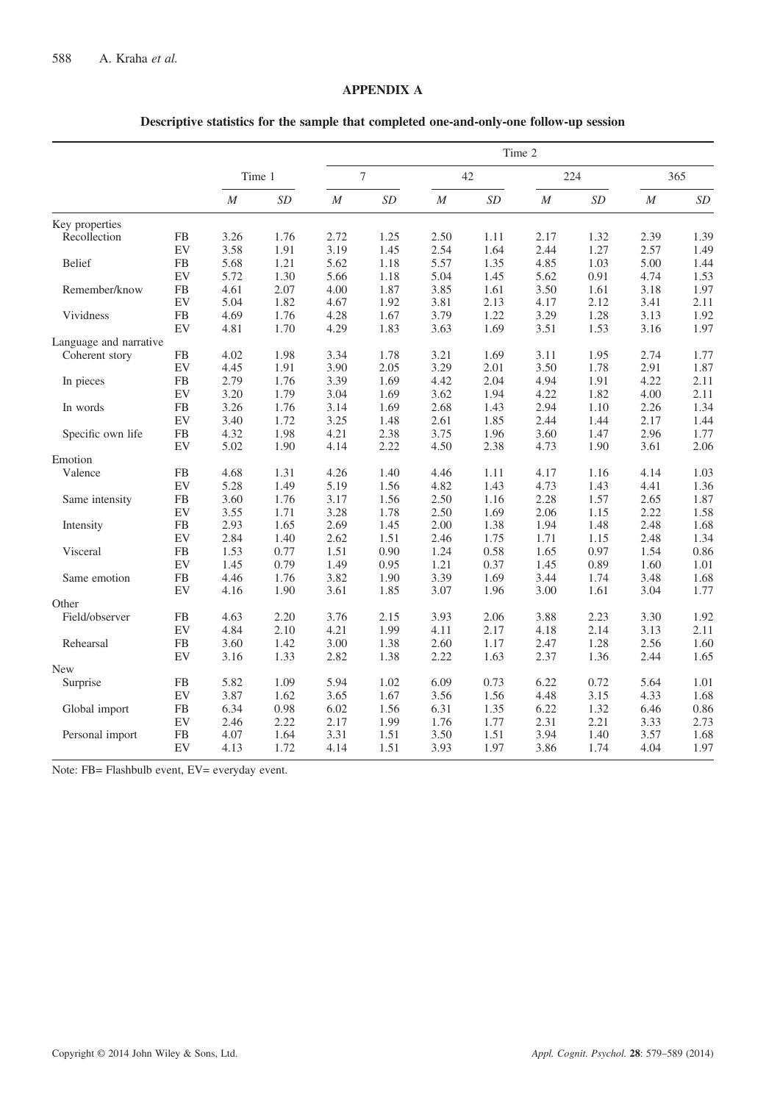## APPENDIX A

|                                            |            |                  |           |                  | Time 2    |                  |      |                  |                   |                  |           |  |  |
|--------------------------------------------|------------|------------------|-----------|------------------|-----------|------------------|------|------------------|-------------------|------------------|-----------|--|--|
|                                            |            | Time 1           |           |                  | 7<br>42   |                  |      | 224              |                   | 365              |           |  |  |
|                                            |            | $\boldsymbol{M}$ | $\cal SD$ | $\boldsymbol{M}$ | $\cal SD$ | $\boldsymbol{M}$ | SD   | $\boldsymbol{M}$ | $\boldsymbol{SD}$ | $\boldsymbol{M}$ | <b>SD</b> |  |  |
| Key properties                             |            |                  |           |                  |           |                  |      |                  |                   |                  |           |  |  |
| Recollection                               | ${\rm FB}$ | 3.26             | 1.76      | 2.72             | 1.25      | 2.50             | 1.11 | 2.17             | 1.32              | 2.39             | 1.39      |  |  |
|                                            | EV         | 3.58             | 1.91      | 3.19             | 1.45      | 2.54             | 1.64 | 2.44             | 1.27              | 2.57             | 1.49      |  |  |
| <b>Belief</b>                              | FB         | 5.68             | 1.21      | 5.62             | 1.18      | 5.57             | 1.35 | 4.85             | 1.03              | 5.00             | 1.44      |  |  |
|                                            | EV         | 5.72             | 1.30      | 5.66             | 1.18      | 5.04             | 1.45 | 5.62             | 0.91              | 4.74             | 1.53      |  |  |
| Remember/know                              | ${\rm FB}$ | 4.61             | 2.07      | 4.00             | 1.87      | 3.85             | 1.61 | 3.50             | 1.61              | 3.18             | 1.97      |  |  |
|                                            | EV         | 5.04             | 1.82      | 4.67             | 1.92      | 3.81             | 2.13 | 4.17             | 2.12              | 3.41             | 2.11      |  |  |
| Vividness                                  | FB         | 4.69             | 1.76      | 4.28             | 1.67      | 3.79             | 1.22 | 3.29             | 1.28              | 3.13             | 1.92      |  |  |
|                                            | EV         | 4.81             | 1.70      | 4.29             | 1.83      | 3.63             | 1.69 | 3.51             | 1.53              | 3.16             | 1.97      |  |  |
| Language and narrative                     |            |                  |           |                  |           |                  |      |                  |                   |                  |           |  |  |
| Coherent story                             | FB         | 4.02             | 1.98      | 3.34             | 1.78      | 3.21             | 1.69 | 3.11             | 1.95              | 2.74             | 1.77      |  |  |
|                                            | EV         | 4.45             | 1.91      | 3.90             | 2.05      | 3.29             | 2.01 | 3.50             | 1.78              | 2.91             | 1.87      |  |  |
|                                            |            | 2.79             | 1.76      | 3.39             | 1.69      | 4.42             | 2.04 | 4.94             | 1.91              | 4.22             |           |  |  |
| In pieces<br>In words<br>Specific own life | FB         |                  |           |                  |           |                  |      |                  |                   |                  | 2.11      |  |  |
|                                            | EV         | 3.20             | 1.79      | 3.04             | 1.69      | 3.62             | 1.94 | 4.22             | 1.82              | 4.00             | 2.11      |  |  |
|                                            | FB         | 3.26             | 1.76      | 3.14             | 1.69      | 2.68             | 1.43 | 2.94             | 1.10              | 2.26             | 1.34      |  |  |
|                                            | EV         | 3.40             | 1.72      | 3.25             | 1.48      | 2.61             | 1.85 | 2.44             | 1.44              | 2.17             | 1.44      |  |  |
|                                            | FB         | 4.32             | 1.98      | 4.21             | 2.38      | 3.75             | 1.96 | 3.60             | 1.47              | 2.96             | 1.77      |  |  |
|                                            | EV         | 5.02             | 1.90      | 4.14             | 2.22      | 4.50             | 2.38 | 4.73             | 1.90              | 3.61             | 2.06      |  |  |
|                                            |            |                  |           |                  |           |                  |      |                  |                   |                  |           |  |  |
|                                            | FB         | 4.68             | 1.31      | 4.26             | 1.40      | 4.46             | 1.11 | 4.17             | 1.16              | 4.14             | 1.03      |  |  |
| Emotion<br>Valence<br>Same intensity       | EV         | 5.28             | 1.49      | 5.19             | 1.56      | 4.82             | 1.43 | 4.73             | 1.43              | 4.41             | 1.36      |  |  |
|                                            | FB         | 3.60             | 1.76      | 3.17             | 1.56      | 2.50             | 1.16 | 2.28             | 1.57              | 2.65             | 1.87      |  |  |
|                                            | EV         | 3.55             | 1.71      | 3.28             | 1.78      | 2.50             | 1.69 | 2.06             | 1.15              | 2.22             | 1.58      |  |  |
| Intensity                                  | FB         | 2.93             | 1.65      | 2.69             | 1.45      | 2.00             | 1.38 | 1.94             | 1.48              | 2.48             | 1.68      |  |  |
|                                            | EV         | 2.84             | 1.40      | 2.62             | 1.51      | 2.46             | 1.75 | 1.71             | 1.15              | 2.48             | 1.34      |  |  |
| Visceral                                   | ${\rm FB}$ | 1.53             | 0.77      | 1.51             | 0.90      | 1.24             | 0.58 | 1.65             | 0.97              | 1.54             | 0.86      |  |  |
|                                            | EV         | 1.45             | 0.79      | 1.49             | 0.95      | 1.21             | 0.37 | 1.45             | 0.89              | 1.60             | 1.01      |  |  |
| Same emotion                               | ${\rm FB}$ | 4.46             | 1.76      | 3.82             | 1.90      | 3.39             | 1.69 | 3.44             | 1.74              | 3.48             | 1.68      |  |  |
|                                            | EV         | 4.16             | 1.90      | 3.61             | 1.85      | 3.07             | 1.96 | 3.00             | 1.61              | 3.04             | 1.77      |  |  |
| Other                                      |            |                  |           |                  |           |                  |      |                  |                   |                  |           |  |  |
| Field/observer                             | FB         | 4.63             | 2.20      | 3.76             | 2.15      | 3.93             | 2.06 | 3.88             | 2.23              | 3.30             | 1.92      |  |  |
|                                            | EV         | 4.84             | 2.10      | 4.21             | 1.99      | 4.11             | 2.17 | 4.18             | 2.14              | 3.13             | 2.11      |  |  |
| Rehearsal                                  | FB         | 3.60             | 1.42      | 3.00             | 1.38      | 2.60             | 1.17 | 2.47             | 1.28              | 2.56             | 1.60      |  |  |
|                                            | EV         | 3.16             | 1.33      | 2.82             | 1.38      | 2.22             | 1.63 | 2.37             | 1.36              | 2.44             | 1.65      |  |  |
| New                                        |            |                  |           |                  |           |                  |      |                  |                   |                  |           |  |  |
|                                            |            |                  |           |                  |           |                  |      |                  |                   |                  |           |  |  |
| Surprise                                   | FB         | 5.82             | 1.09      | 5.94             | 1.02      | 6.09             | 0.73 | 6.22             | 0.72              | 5.64             | 1.01      |  |  |
|                                            | EV         | 3.87             | 1.62      | 3.65             | 1.67      | 3.56             | 1.56 | 4.48             | 3.15              | 4.33             | 1.68      |  |  |
| Global import                              | FB         | 6.34             | 0.98      | 6.02             | 1.56      | 6.31             | 1.35 | 6.22             | 1.32              | 6.46             | 0.86      |  |  |
|                                            | EV         | 2.46             | 2.22      | 2.17             | 1.99      | 1.76             | 1.77 | 2.31             | 2.21              | 3.33             | 2.73      |  |  |
| Personal import                            | FB         | 4.07             | 1.64      | 3.31             | 1.51      | 3.50             | 1.51 | 3.94             | 1.40              | 3.57             | 1.68      |  |  |
|                                            | EV         | 4.13             | 1.72      | 4.14             | 1.51      | 3.93             | 1.97 | 3.86             | 1.74              | 4.04             | 1.97      |  |  |

Descriptive statistics for the sample that completed one-and-only-one follow-up session

Note: FB= Flashbulb event, EV= everyday event.